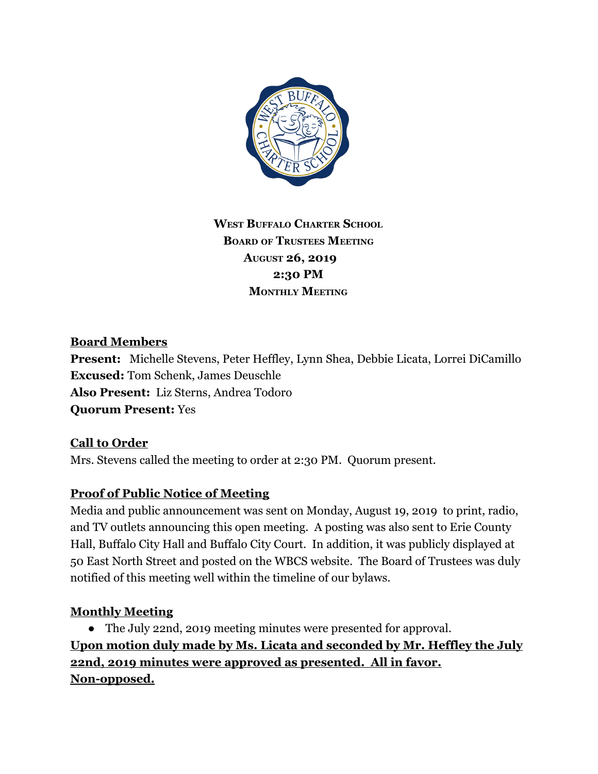

**WEST BUFFALO CHARTER SCHOOL BOARD OF TRUSTEES MEETING AUGUST 26, 2019 2:30 PM MONTHLY MEETING**

# **Board Members**

**Present:** Michelle Stevens, Peter Heffley, Lynn Shea, Debbie Licata, Lorrei DiCamillo **Excused:** Tom Schenk, James Deuschle **Also Present:** Liz Sterns, Andrea Todoro **Quorum Present:** Yes

# **Call to Order**

Mrs. Stevens called the meeting to order at 2:30 PM. Quorum present.

# **Proof of Public Notice of Meeting**

Media and public announcement was sent on Monday, August 19, 2019 to print, radio, and TV outlets announcing this open meeting. A posting was also sent to Erie County Hall, Buffalo City Hall and Buffalo City Court. In addition, it was publicly displayed at 50 East North Street and posted on the WBCS website. The Board of Trustees was duly notified of this meeting well within the timeline of our bylaws.

# **Monthly Meeting**

● The July 22nd, 2019 meeting minutes were presented for approval. **Upon motion duly made by Ms. Licata and seconded by Mr. Heffley the July 22nd, 2019 minutes were approved as presented. All in favor. Non-opposed.**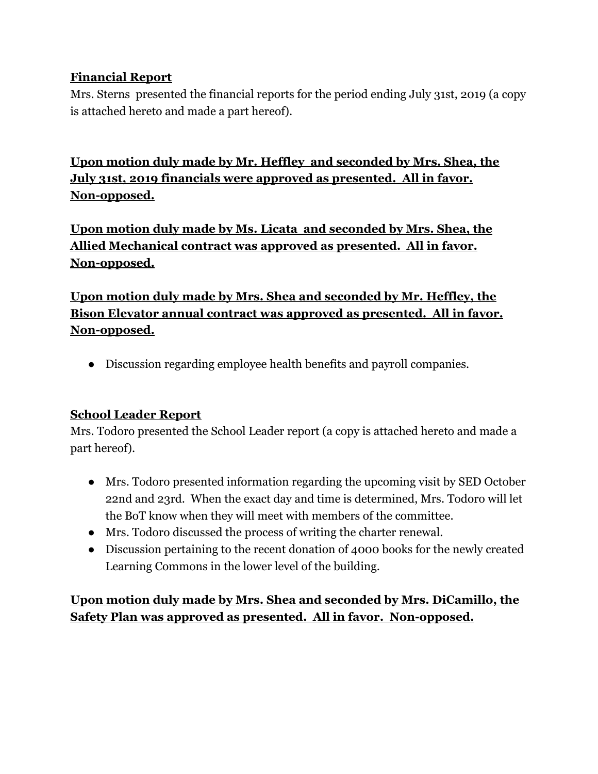# **Financial Report**

Mrs. Sterns presented the financial reports for the period ending July 31st, 2019 (a copy is attached hereto and made a part hereof).

**Upon motion duly made by Mr. Heffley and seconded by Mrs. Shea, the July 31st, 2019 financials were approved as presented. All in favor. Non-opposed.**

**Upon motion duly made by Ms. Licata and seconded by Mrs. Shea, the Allied Mechanical contract was approved as presented. All in favor. Non-opposed.**

**Upon motion duly made by Mrs. Shea and seconded by Mr. Heffley, the Bison Elevator annual contract was approved as presented. All in favor. Non-opposed.**

● Discussion regarding employee health benefits and payroll companies.

# **School Leader Report**

Mrs. Todoro presented the School Leader report (a copy is attached hereto and made a part hereof).

- Mrs. Todoro presented information regarding the upcoming visit by SED October 22nd and 23rd. When the exact day and time is determined, Mrs. Todoro will let the BoT know when they will meet with members of the committee.
- Mrs. Todoro discussed the process of writing the charter renewal.
- Discussion pertaining to the recent donation of 4000 books for the newly created Learning Commons in the lower level of the building.

**Upon motion duly made by Mrs. Shea and seconded by Mrs. DiCamillo, the Safety Plan was approved as presented. All in favor. Non-opposed.**